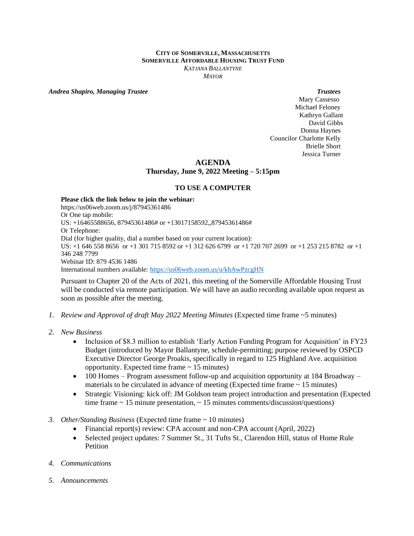## **CITY OF SOMERVILLE, MASSACHUSETTS SOMERVILLE AFFORDABLE HOUSING TRUST FUND** *KATJANA BALLANTYNE MAYOR*

*Andrea Shapiro, Managing Trustee Trustees*

 Mary Cassesso Michael Feloney Kathryn Gallant David Gibbs Donna Haynes Councilor Charlotte Kelly Brielle Short Jessica Turner

## **AGENDA**

**Thursday, June 9, 2022 Meeting – 5:15pm**

## **TO USE A COMPUTER**

**Please click the link below to join the webinar:** https://us06web.zoom.us/j/87945361486 Or One tap mobile: US: +16465588656, 87945361486# or +13017158592,,87945361486# Or Telephone: Dial (for higher quality, dial a number based on your current location): US: +1 646 558 8656 or +1 301 715 8592 or +1 312 626 6799 or +1 720 707 2699 or +1 253 215 8782 or +1 346 248 7799 Webinar ID: 879 4536 1486 International numbers available:<https://us06web.zoom.us/u/kbAwPzcgHN>

Pursuant to Chapter 20 of the Acts of 2021, this meeting of the Somerville Affordable Housing Trust will be conducted via remote participation. We will have an audio recording available upon request as soon as possible after the meeting.

- *1. Review and Approval of draft May 2022 Meeting Minutes* (Expected time frame ~5 minutes)
- *2. New Business* 
	- Inclusion of \$8.3 million to establish 'Early Action Funding Program for Acquisition' in FY23 Budget (introduced by Mayor Ballantyne, schedule-permitting; purpose reviewed by OSPCD Executive Director George Proakis, specifically in regard to 125 Highland Ave. acquisition opportunity. Expected time frame ~ 15 minutes)
	- 100 Homes Program assessment follow-up and acquisition opportunity at 184 Broadway materials to be circulated in advance of meeting (Expected time frame  $\sim 15$  minutes)
	- Strategic Visioning: kick off: JM Goldson team project introduction and presentation (Expected time frame  $\sim$  15 minute presentation,  $\sim$  15 minutes comments/discussion/questions)
- *3. Other/Standing Business* (Expected time frame ~ 10 minutes)
	- Financial report(s) review: CPA account and non-CPA account (April, 2022)
	- Selected project updates: 7 Summer St., 31 Tufts St., Clarendon Hill, status of Home Rule Petition
- *4. Communications*
- *5. Announcements*